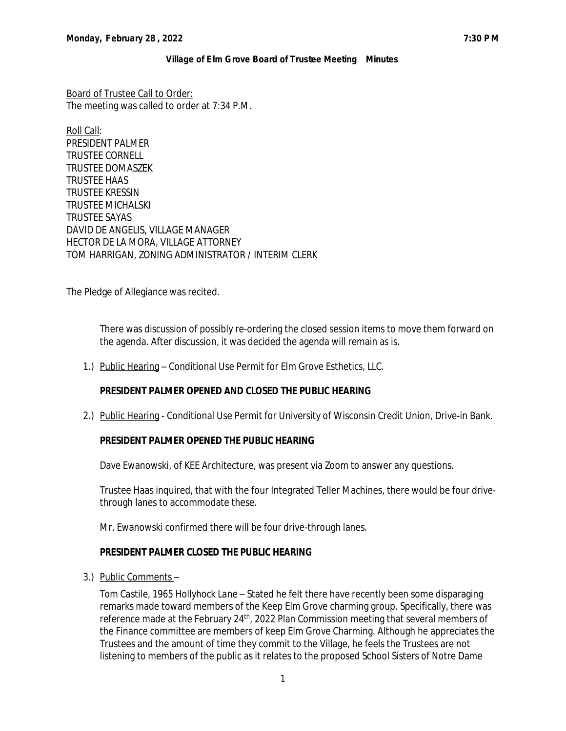Board of Trustee Call to Order: The meeting was called to order at 7:34 P.M.

Roll Call: PRESIDENT PALMER TRUSTEE CORNELL TRUSTEE DOMASZEK TRUSTEE HAAS TRUSTEE KRESSIN TRUSTEE MICHALSKI TRUSTEE SAYAS DAVID DE ANGELIS, VILLAGE MANAGER HECTOR DE LA MORA, VILLAGE ATTORNEY TOM HARRIGAN, ZONING ADMINISTRATOR / INTERIM CLERK

The Pledge of Allegiance was recited.

There was discussion of possibly re-ordering the closed session items to move them forward on the agenda. After discussion, it was decided the agenda will remain as is.

1.) Public Hearing – Conditional Use Permit for Elm Grove Esthetics, LLC.

### **PRESIDENT PALMER OPENED AND CLOSED THE PUBLIC HEARING**

2.) Public Hearing - Conditional Use Permit for University of Wisconsin Credit Union, Drive-in Bank.

### **PRESIDENT PALMER OPENED THE PUBLIC HEARING**

Dave Ewanowski, of KEE Architecture, was present via Zoom to answer any questions.

Trustee Haas inquired, that with the four Integrated Teller Machines, there would be four drivethrough lanes to accommodate these.

Mr. Ewanowski confirmed there will be four drive-through lanes.

#### **PRESIDENT PALMER CLOSED THE PUBLIC HEARING**

3.) Public Comments –

*Tom Castile, 1965 Hollyhock Lane* – Stated he felt there have recently been some disparaging remarks made toward members of the Keep Elm Grove charming group. Specifically, there was reference made at the February 24<sup>th</sup>, 2022 Plan Commission meeting that several members of the Finance committee are members of keep Elm Grove Charming. Although he appreciates the Trustees and the amount of time they commit to the Village, he feels the Trustees are not listening to members of the public as it relates to the proposed School Sisters of Notre Dame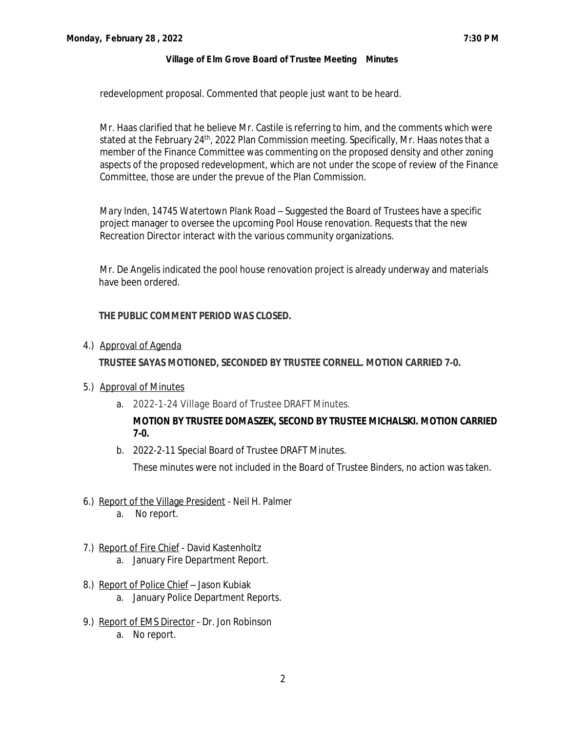redevelopment proposal. Commented that people just want to be heard.

Mr. Haas clarified that he believe Mr. Castile is referring to him, and the comments which were stated at the February 24<sup>th</sup>, 2022 Plan Commission meeting. Specifically, Mr. Haas notes that a member of the Finance Committee was commenting on the proposed density and other zoning aspects of the proposed redevelopment, which are not under the scope of review of the Finance Committee, those are under the prevue of the Plan Commission.

*Mary Inden, 14745 Watertown Plank Road* – Suggested the Board of Trustees have a specific project manager to oversee the upcoming Pool House renovation. Requests that the new Recreation Director interact with the various community organizations.

Mr. De Angelis indicated the pool house renovation project is already underway and materials have been ordered.

### **THE PUBLIC COMMENT PERIOD WAS CLOSED.**

4.) Approval of Agenda

### **TRUSTEE SAYAS MOTIONED, SECONDED BY TRUSTEE CORNELL. MOTION CARRIED 7-0.**

- 5.) Approval of Minutes
	- a. 2022-1-24 Village Board of Trustee DRAFT Minutes.

# **MOTION BY TRUSTEE DOMASZEK, SECOND BY TRUSTEE MICHALSKI. MOTION CARRIED 7-0.**

b. 2022-2-11 Special Board of Trustee DRAFT Minutes.

These minutes were not included in the Board of Trustee Binders, no action was taken.

- 6.) Report of the Village President Neil H. Palmer
	- a. No report.
- 7.) Report of Fire Chief David Kastenholtz a. January Fire Department Report.
- 8.) Report of Police Chief Jason Kubiak a. January Police Department Reports.
- 9.) Report of EMS Director Dr. Jon Robinson a. No report.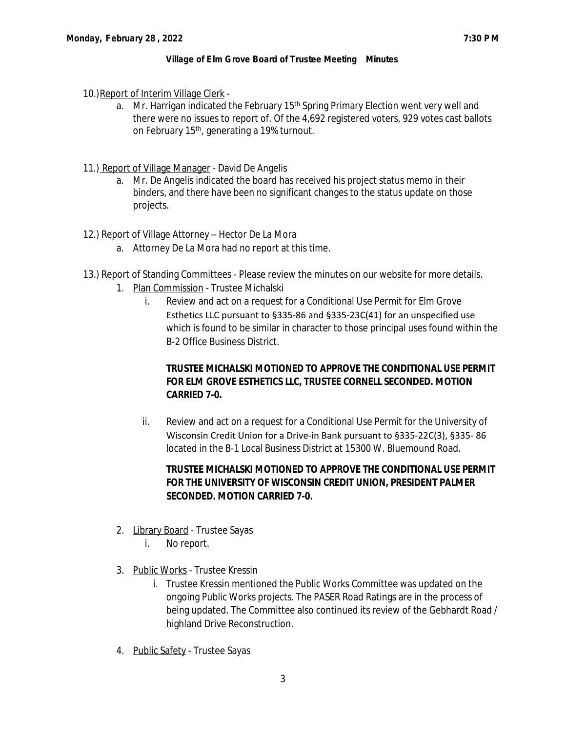- 10.)Report of Interim Village Clerk
	- a. Mr. Harrigan indicated the February  $15<sup>th</sup>$  Spring Primary Election went very well and there were no issues to report of. Of the 4,692 registered voters, 929 votes cast ballots on February 15<sup>th</sup>, generating a 19% turnout.
- 11.) Report of Village Manager David De Angelis
	- a. Mr. De Angelis indicated the board has received his project status memo in their binders, and there have been no significant changes to the status update on those projects.
- 12.) Report of Village Attorney Hector De La Mora
	- a. Attorney De La Mora had no report at this time.
- 13.) Report of Standing Committees Please review the minutes on our website for more details.
	- 1. Plan Commission Trustee Michalski
		- i. Review and act on a request for a Conditional Use Permit for Elm Grove Esthetics LLC pursuant to §335-86 and §335-23C(41) for an unspecified use which is found to be similar in character to those principal uses found within the B-2 Office Business District.

# **TRUSTEE MICHALSKI MOTIONED TO APPROVE THE CONDITIONAL USE PERMIT FOR ELM GROVE ESTHETICS LLC, TRUSTEE CORNELL SECONDED. MOTION CARRIED 7-0.**

ii. Review and act on a request for a Conditional Use Permit for the University of Wisconsin Credit Union for a Drive-in Bank pursuant to §335-22C(3), §335- 86 located in the B-1 Local Business District at 15300 W. Bluemound Road.

# **TRUSTEE MICHALSKI MOTIONED TO APPROVE THE CONDITIONAL USE PERMIT FOR THE UNIVERSITY OF WISCONSIN CREDIT UNION, PRESIDENT PALMER SECONDED. MOTION CARRIED 7-0.**

- 2. Library Board Trustee Sayas
	- i. No report.
- 3. Public Works Trustee Kressin
	- i. Trustee Kressin mentioned the Public Works Committee was updated on the ongoing Public Works projects. The PASER Road Ratings are in the process of being updated. The Committee also continued its review of the Gebhardt Road / highland Drive Reconstruction.
- 4. Public Safety Trustee Sayas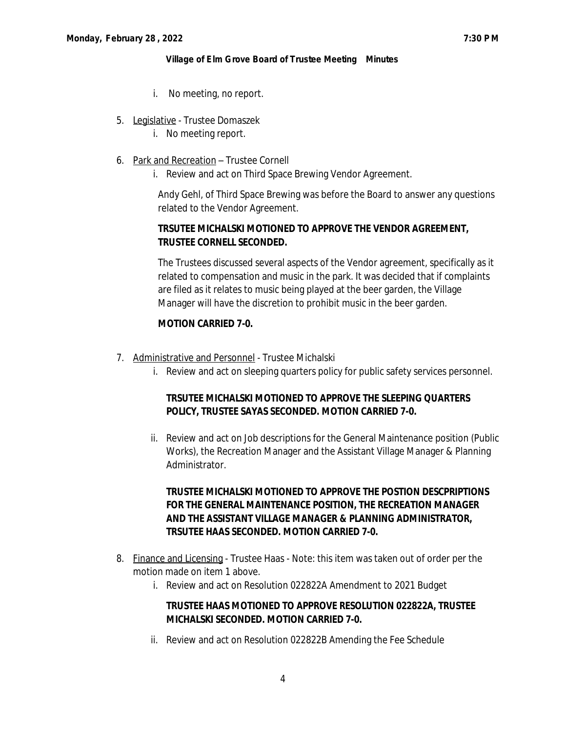- i. No meeting, no report.
- 5. Legislative Trustee Domaszek
	- i. No meeting report.
- 6. Park and Recreation Trustee Cornell
	- i. Review and act on Third Space Brewing Vendor Agreement.

Andy Gehl, of Third Space Brewing was before the Board to answer any questions related to the Vendor Agreement.

# **TRSUTEE MICHALSKI MOTIONED TO APPROVE THE VENDOR AGREEMENT, TRUSTEE CORNELL SECONDED.**

The Trustees discussed several aspects of the Vendor agreement, specifically as it related to compensation and music in the park. It was decided that if complaints are filed as it relates to music being played at the beer garden, the Village Manager will have the discretion to prohibit music in the beer garden.

### **MOTION CARRIED 7-0.**

- 7. Administrative and Personnel Trustee Michalski
	- i. Review and act on sleeping quarters policy for public safety services personnel.

# **TRSUTEE MICHALSKI MOTIONED TO APPROVE THE SLEEPING QUARTERS POLICY, TRUSTEE SAYAS SECONDED. MOTION CARRIED 7-0.**

ii. Review and act on Job descriptions for the General Maintenance position (Public Works), the Recreation Manager and the Assistant Village Manager & Planning Administrator.

# **TRUSTEE MICHALSKI MOTIONED TO APPROVE THE POSTION DESCPRIPTIONS FOR THE GENERAL MAINTENANCE POSITION, THE RECREATION MANAGER AND THE ASSISTANT VILLAGE MANAGER & PLANNING ADMINISTRATOR, TRSUTEE HAAS SECONDED. MOTION CARRIED 7-0.**

- 8. Finance and Licensing Trustee Haas Note: this item was taken out of order per the motion made on item 1 above.
	- i. Review and act on Resolution 022822A Amendment to 2021 Budget

### **TRUSTEE HAAS MOTIONED TO APPROVE RESOLUTION 022822A, TRUSTEE MICHALSKI SECONDED. MOTION CARRIED 7-0.**

ii. Review and act on Resolution 022822B Amending the Fee Schedule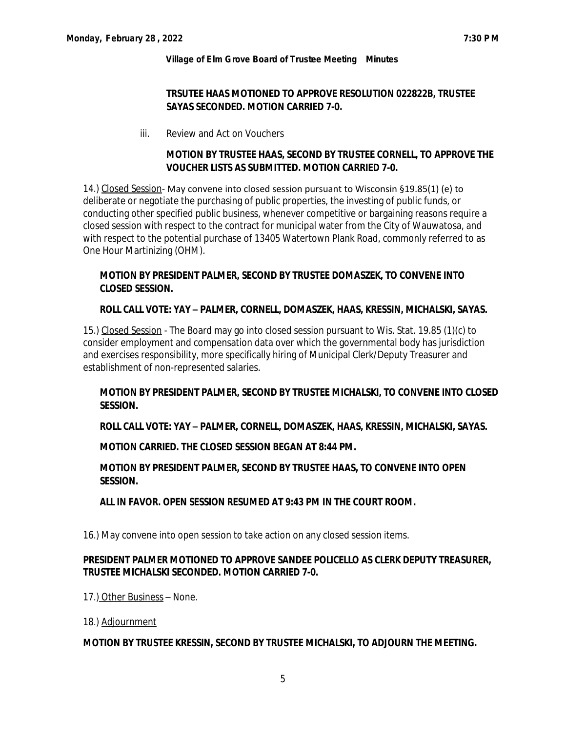# **TRSUTEE HAAS MOTIONED TO APPROVE RESOLUTION 022822B, TRUSTEE SAYAS SECONDED. MOTION CARRIED 7-0.**

iii. Review and Act on Vouchers

# **MOTION BY TRUSTEE HAAS, SECOND BY TRUSTEE CORNELL, TO APPROVE THE VOUCHER LISTS AS SUBMITTED. MOTION CARRIED 7-0.**

14.) Closed Session- May convene into closed session pursuant to Wisconsin §19.85(1) (e) to deliberate or negotiate the purchasing of public properties, the investing of public funds, or conducting other specified public business, whenever competitive or bargaining reasons require a closed session with respect to the contract for municipal water from the City of Wauwatosa, and with respect to the potential purchase of 13405 Watertown Plank Road, commonly referred to as One Hour Martinizing (OHM).

# **MOTION BY PRESIDENT PALMER, SECOND BY TRUSTEE DOMASZEK, TO CONVENE INTO CLOSED SESSION.**

### **ROLL CALL VOTE: YAY – PALMER, CORNELL, DOMASZEK, HAAS, KRESSIN, MICHALSKI, SAYAS.**

15.) Closed Session - The Board may go into closed session pursuant to Wis. Stat. 19.85 (1)(c) to consider employment and compensation data over which the governmental body has jurisdiction and exercises responsibility, more specifically hiring of Municipal Clerk/Deputy Treasurer and establishment of non-represented salaries.

# **MOTION BY PRESIDENT PALMER, SECOND BY TRUSTEE MICHALSKI, TO CONVENE INTO CLOSED SESSION.**

### **ROLL CALL VOTE: YAY – PALMER, CORNELL, DOMASZEK, HAAS, KRESSIN, MICHALSKI, SAYAS.**

### **MOTION CARRIED. THE CLOSED SESSION BEGAN AT 8:44 PM.**

# **MOTION BY PRESIDENT PALMER, SECOND BY TRUSTEE HAAS, TO CONVENE INTO OPEN SESSION.**

### **ALL IN FAVOR. OPEN SESSION RESUMED AT 9:43 PM IN THE COURT ROOM.**

16.) May convene into open session to take action on any closed session items.

# **PRESIDENT PALMER MOTIONED TO APPROVE SANDEE POLICELLO AS CLERK DEPUTY TREASURER, TRUSTEE MICHALSKI SECONDED. MOTION CARRIED 7-0.**

17.) Other Business – None.

18.) Adjournment

### **MOTION BY TRUSTEE KRESSIN, SECOND BY TRUSTEE MICHALSKI, TO ADJOURN THE MEETING.**